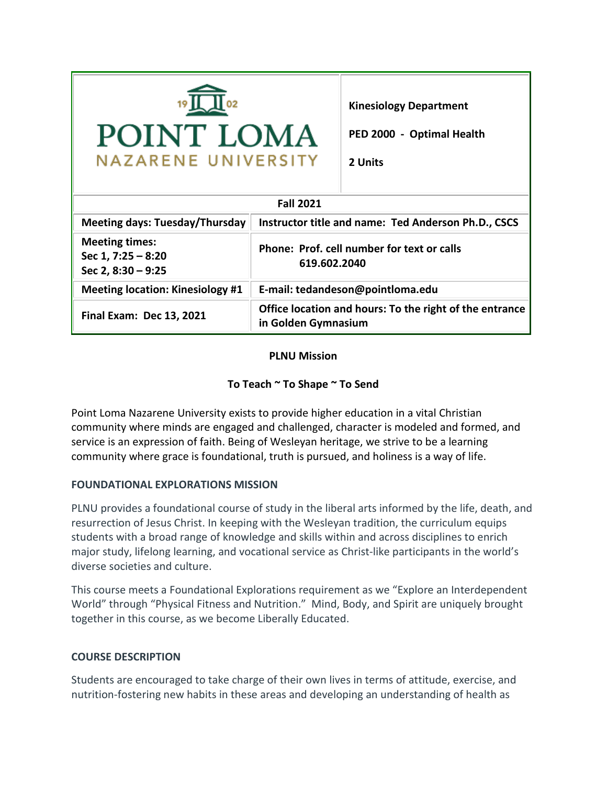| POINT LOMA<br><b>NAZARENE UNIVERSITY</b>                              |                                                                                | <b>Kinesiology Department</b><br>PED 2000 - Optimal Health<br>2 Units |  |  |
|-----------------------------------------------------------------------|--------------------------------------------------------------------------------|-----------------------------------------------------------------------|--|--|
| <b>Fall 2021</b>                                                      |                                                                                |                                                                       |  |  |
| <b>Meeting days: Tuesday/Thursday</b>                                 | <b>Instructor title and name: Ted Anderson Ph.D., CSCS</b>                     |                                                                       |  |  |
| <b>Meeting times:</b><br>Sec $1, 7:25 - 8:20$<br>Sec 2, $8:30 - 9:25$ | Phone: Prof. cell number for text or calls<br>619.602.2040                     |                                                                       |  |  |
| <b>Meeting location: Kinesiology #1</b>                               | E-mail: tedandeson@pointloma.edu                                               |                                                                       |  |  |
| <b>Final Exam: Dec 13, 2021</b>                                       | Office location and hours: To the right of the entrance<br>in Golden Gymnasium |                                                                       |  |  |

## **PLNU Mission**

## **To Teach ~ To Shape ~ To Send**

Point Loma Nazarene University exists to provide higher education in a vital Christian community where minds are engaged and challenged, character is modeled and formed, and service is an expression of faith. Being of Wesleyan heritage, we strive to be a learning community where grace is foundational, truth is pursued, and holiness is a way of life.

#### **FOUNDATIONAL EXPLORATIONS MISSION**

PLNU provides a foundational course of study in the liberal arts informed by the life, death, and resurrection of Jesus Christ. In keeping with the Wesleyan tradition, the curriculum equips students with a broad range of knowledge and skills within and across disciplines to enrich major study, lifelong learning, and vocational service as Christ-like participants in the world's diverse societies and culture.

This course meets a Foundational Explorations requirement as we "Explore an Interdependent World" through "Physical Fitness and Nutrition." Mind, Body, and Spirit are uniquely brought together in this course, as we become Liberally Educated.

## **COURSE DESCRIPTION**

Students are encouraged to take charge of their own lives in terms of attitude, exercise, and nutrition-fostering new habits in these areas and developing an understanding of health as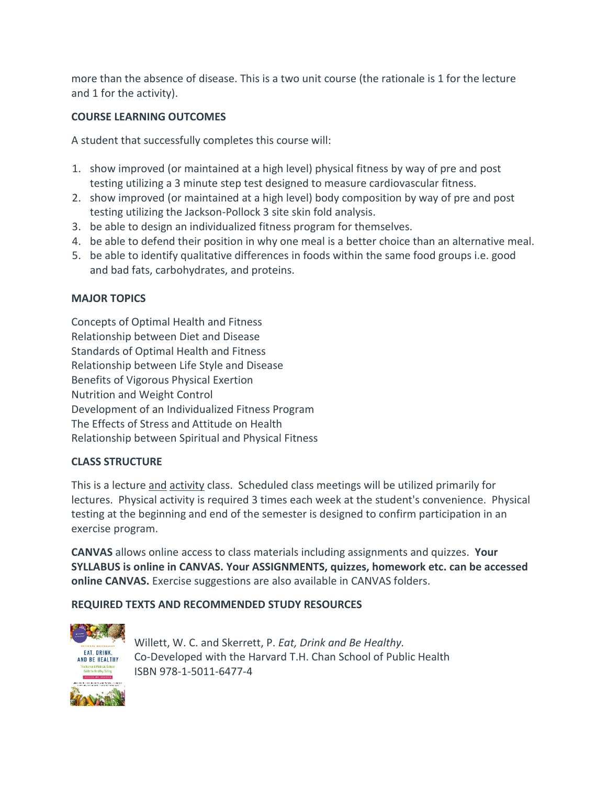more than the absence of disease. This is a two unit course (the rationale is 1 for the lecture and 1 for the activity).

# **COURSE LEARNING OUTCOMES**

A student that successfully completes this course will:

- 1. show improved (or maintained at a high level) physical fitness by way of pre and post testing utilizing a 3 minute step test designed to measure cardiovascular fitness.
- 2. show improved (or maintained at a high level) body composition by way of pre and post testing utilizing the Jackson-Pollock 3 site skin fold analysis.
- 3. be able to design an individualized fitness program for themselves.
- 4. be able to defend their position in why one meal is a better choice than an alternative meal.
- 5. be able to identify qualitative differences in foods within the same food groups i.e. good and bad fats, carbohydrates, and proteins.

## **MAJOR TOPICS**

Concepts of Optimal Health and Fitness Relationship between Diet and Disease Standards of Optimal Health and Fitness Relationship between Life Style and Disease Benefits of Vigorous Physical Exertion Nutrition and Weight Control Development of an Individualized Fitness Program The Effects of Stress and Attitude on Health Relationship between Spiritual and Physical Fitness

## **CLASS STRUCTURE**

This is a lecture and activity class. Scheduled class meetings will be utilized primarily for lectures. Physical activity is required 3 times each week at the student's convenience. Physical testing at the beginning and end of the semester is designed to confirm participation in an exercise program.

**CANVAS** allows online access to class materials including assignments and quizzes. **Your SYLLABUS is online in CANVAS. Your ASSIGNMENTS, quizzes, homework etc. can be accessed online CANVAS.** Exercise suggestions are also available in CANVAS folders.

## **REQUIRED TEXTS AND RECOMMENDED STUDY RESOURCES**



Willett, W. C. and Skerrett, P. *Eat, Drink and Be Healthy.* Co-Developed with the Harvard T.H. Chan School of Public Health ISBN 978-1-5011-6477-4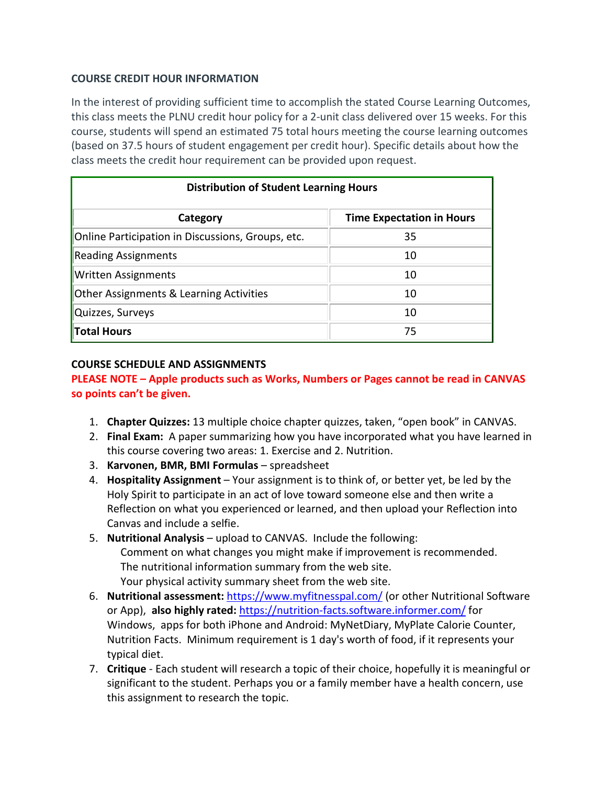#### **COURSE CREDIT HOUR INFORMATION**

In the interest of providing sufficient time to accomplish the stated Course Learning Outcomes, this class meets the PLNU credit hour policy for a 2-unit class delivered over 15 weeks. For this course, students will spend an estimated 75 total hours meeting the course learning outcomes (based on 37.5 hours of student engagement per credit hour). Specific details about how the class meets the credit hour requirement can be provided upon request.

| <b>Distribution of Student Learning Hours</b>      |                                  |  |  |  |
|----------------------------------------------------|----------------------------------|--|--|--|
| Category                                           | <b>Time Expectation in Hours</b> |  |  |  |
| Online Participation in Discussions, Groups, etc.  | 35                               |  |  |  |
| Reading Assignments                                | 10                               |  |  |  |
| <b>Written Assignments</b>                         | 10                               |  |  |  |
| <b>Other Assignments &amp; Learning Activities</b> | 10                               |  |  |  |
| Quizzes, Surveys                                   | 10                               |  |  |  |
| Total Hours                                        | 75                               |  |  |  |

## **COURSE SCHEDULE AND ASSIGNMENTS**

#### **PLEASE NOTE – Apple products such as Works, Numbers or Pages cannot be read in CANVAS so points can't be given.**

- 1. **Chapter Quizzes:** 13 multiple choice chapter quizzes, taken, "open book" in CANVAS.
- 2. **Final Exam:** A paper summarizing how you have incorporated what you have learned in this course covering two areas: 1. Exercise and 2. Nutrition.
- 3. **Karvonen, BMR, BMI Formulas** spreadsheet
- 4. **Hospitality Assignment** Your assignment is to think of, or better yet, be led by the Holy Spirit to participate in an act of love toward someone else and then write a Reflection on what you experienced or learned, and then upload your Reflection into Canvas and include a selfie.
- 5. **Nutritional Analysis** upload to CANVAS. Include the following: Comment on what changes you might make if improvement is recommended. The nutritional information summary from the web site. Your physical activity summary sheet from the web site.
- 6. **Nutritional assessment:** <https://www.myfitnesspal.com/> (or other Nutritional Software or App), **also highly rated:** <https://nutrition-facts.software.informer.com/> for Windows, apps for both iPhone and Android: MyNetDiary, MyPlate Calorie Counter, Nutrition Facts. Minimum requirement is 1 day's worth of food, if it represents your typical diet.
- 7. **Critique** Each student will research a topic of their choice, hopefully it is meaningful or significant to the student. Perhaps you or a family member have a health concern, use this assignment to research the topic.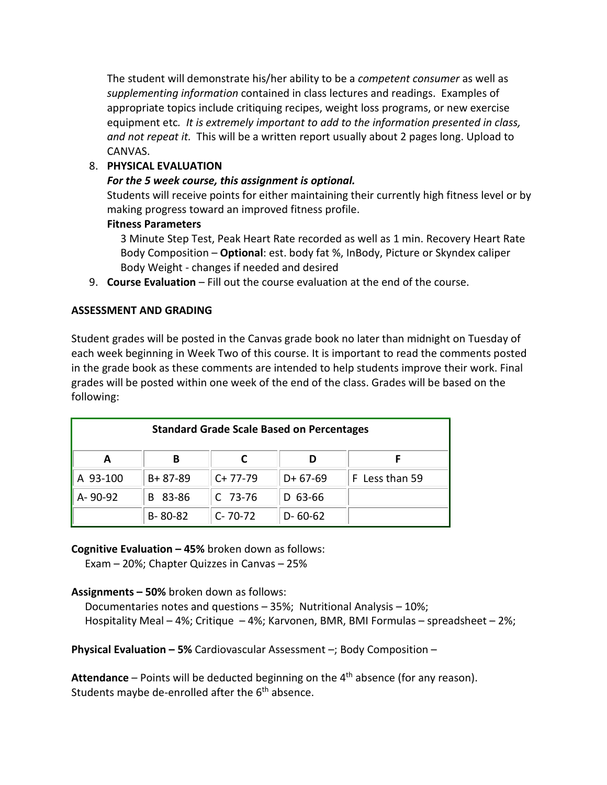The student will demonstrate his/her ability to be a *competent consumer* as well as *supplementing information* contained in class lectures and readings. Examples of appropriate topics include critiquing recipes, weight loss programs, or new exercise equipment etc*. It is extremely important to add to the information presented in class, and not repeat it.* This will be a written report usually about 2 pages long. Upload to CANVAS.

#### 8. **PHYSICAL EVALUATION**

#### *For the 5 week course, this assignment is optional.*

Students will receive points for either maintaining their currently high fitness level or by making progress toward an improved fitness profile.

#### **Fitness Parameters**

3 Minute Step Test, Peak Heart Rate recorded as well as 1 min. Recovery Heart Rate Body Composition – **Optional**: est. body fat %, InBody, Picture or Skyndex caliper Body Weight - changes if needed and desired

9. **Course Evaluation** – Fill out the course evaluation at the end of the course.

#### **ASSESSMENT AND GRADING**

Student grades will be posted in the Canvas grade book no later than midnight on Tuesday of each week beginning in Week Two of this course. It is important to read the comments posted in the grade book as these comments are intended to help students improve their work. Final grades will be posted within one week of the end of the class. Grades will be based on the following:

| <b>Standard Grade Scale Based on Percentages</b> |               |               |               |                |  |
|--------------------------------------------------|---------------|---------------|---------------|----------------|--|
| A                                                | В             |               |               |                |  |
| A 93-100                                         | $B + 87 - 89$ | $C+77-79$     | $D+67-69$     | F Less than 59 |  |
| A-90-92                                          | B 83-86       | $C$ 73-76     | $D$ 63-66     |                |  |
|                                                  | $B - 80 - 82$ | $C - 70 - 72$ | $D - 60 - 62$ |                |  |

**Cognitive Evaluation – 45%** broken down as follows:

Exam – 20%; Chapter Quizzes in Canvas – 25%

**Assignments – 50%** broken down as follows:

 Documentaries notes and questions – 35%; Nutritional Analysis – 10%; Hospitality Meal – 4%; Critique – 4%; Karvonen, BMR, BMI Formulas – spreadsheet – 2%;

**Physical Evaluation – 5%** Cardiovascular Assessment –; Body Composition –

Attendance – Points will be deducted beginning on the 4<sup>th</sup> absence (for any reason). Students maybe de-enrolled after the  $6<sup>th</sup>$  absence.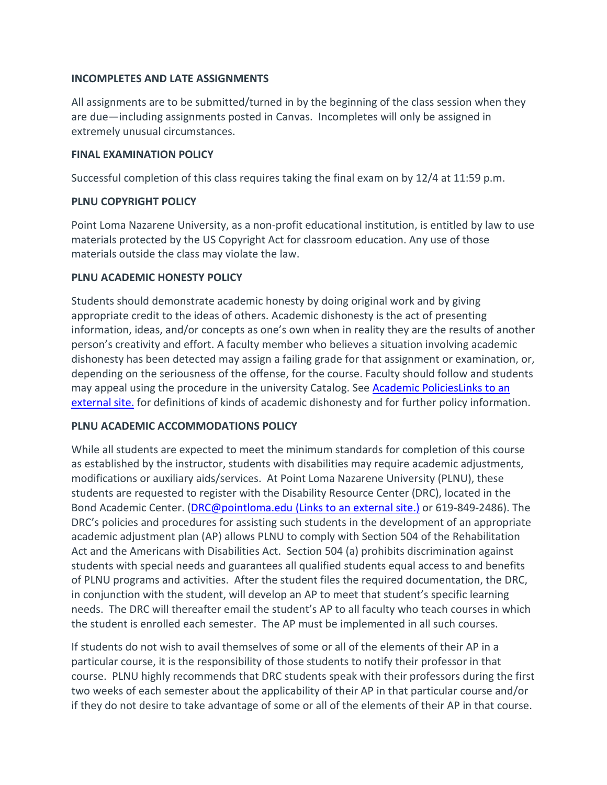#### **INCOMPLETES AND LATE ASSIGNMENTS**

All assignments are to be submitted/turned in by the beginning of the class session when they are due—including assignments posted in Canvas. Incompletes will only be assigned in extremely unusual circumstances.

#### **FINAL EXAMINATION POLICY**

Successful completion of this class requires taking the final exam on by 12/4 at 11:59 p.m.

#### **PLNU COPYRIGHT POLICY**

Point Loma Nazarene University, as a non-profit educational institution, is entitled by law to use materials protected by the US Copyright Act for classroom education. Any use of those materials outside the class may violate the law.

#### **PLNU ACADEMIC HONESTY POLICY**

Students should demonstrate academic honesty by doing original work and by giving appropriate credit to the ideas of others. Academic dishonesty is the act of presenting information, ideas, and/or concepts as one's own when in reality they are the results of another person's creativity and effort. A faculty member who believes a situation involving academic dishonesty has been detected may assign a failing grade for that assignment or examination, or, depending on the seriousness of the offense, for the course. Faculty should follow and students may appeal using the procedure in the university Catalog. See [Academic PoliciesLinks](http://catalog.pointloma.edu/content.php?catoid=18&navoid=1278) to an [external](http://catalog.pointloma.edu/content.php?catoid=18&navoid=1278) site. for definitions of kinds of academic dishonesty and for further policy information.

#### **PLNU ACADEMIC ACCOMMODATIONS POLICY**

While all students are expected to meet the minimum standards for completion of this course as established by the instructor, students with disabilities may require academic adjustments, modifications or auxiliary aids/services. At Point Loma Nazarene University (PLNU), these students are requested to register with the Disability Resource Center (DRC), located in the Bond Academic Center. [\(DRC@pointloma.edu](https://mail.google.com/mail/?view=cm&fs=1&tf=1&to=DRC@pointloma.edu) (Links to an external site.) or 619-849-2486). The DRC's policies and procedures for assisting such students in the development of an appropriate academic adjustment plan (AP) allows PLNU to comply with Section 504 of the Rehabilitation Act and the Americans with Disabilities Act. Section 504 (a) prohibits discrimination against students with special needs and guarantees all qualified students equal access to and benefits of PLNU programs and activities. After the student files the required documentation, the DRC, in conjunction with the student, will develop an AP to meet that student's specific learning needs. The DRC will thereafter email the student's AP to all faculty who teach courses in which the student is enrolled each semester. The AP must be implemented in all such courses.

If students do not wish to avail themselves of some or all of the elements of their AP in a particular course, it is the responsibility of those students to notify their professor in that course. PLNU highly recommends that DRC students speak with their professors during the first two weeks of each semester about the applicability of their AP in that particular course and/or if they do not desire to take advantage of some or all of the elements of their AP in that course.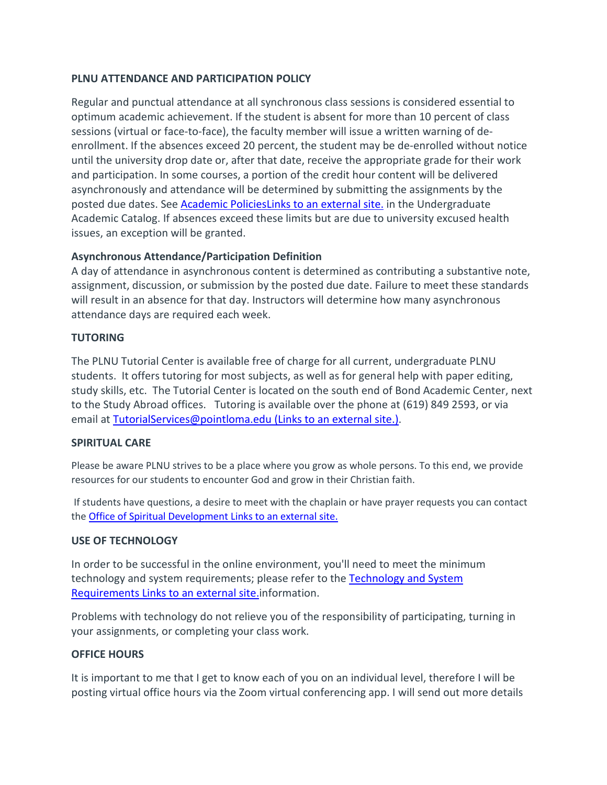#### **PLNU ATTENDANCE AND PARTICIPATION POLICY**

Regular and punctual attendance at all synchronous class sessions is considered essential to optimum academic achievement. If the student is absent for more than 10 percent of class sessions (virtual or face-to-face), the faculty member will issue a written warning of deenrollment. If the absences exceed 20 percent, the student may be de-enrolled without notice until the university drop date or, after that date, receive the appropriate grade for their work and participation. In some courses, a portion of the credit hour content will be delivered asynchronously and attendance will be determined by submitting the assignments by the posted due dates. See [Academic PoliciesLinks](http://catalog.pointloma.edu/content.php?catoid=18&navoid=1278) to an external site. in the Undergraduate Academic Catalog. If absences exceed these limits but are due to university excused health issues, an exception will be granted.

## **Asynchronous Attendance/Participation Definition**

A day of attendance in asynchronous content is determined as contributing a substantive note, assignment, discussion, or submission by the posted due date. Failure to meet these standards will result in an absence for that day. Instructors will determine how many asynchronous attendance days are required each week.

## **TUTORING**

The PLNU Tutorial Center is available free of charge for all current, undergraduate PLNU students. It offers tutoring for most subjects, as well as for general help with paper editing, study skills, etc. The Tutorial Center is located on the south end of Bond Academic Center, next to the Study Abroad offices. Tutoring is available over the phone at (619) 849 2593, or via email at [TutorialServices@pointloma.edu](https://mail.google.com/mail/?view=cm&fs=1&tf=1&to=TutorialServices@pointloma.edu) (Links to an external site.).

## **SPIRITUAL CARE**

Please be aware PLNU strives to be a place where you grow as whole persons. To this end, we provide resources for our students to encounter God and grow in their Christian faith.

If students have questions, a desire to meet with the chaplain or have prayer requests you can contact the [Office of Spiritual Development](https://www.pointloma.edu/offices/spiritual-development) Links to an external site.

## **USE OF TECHNOLOGY**

In order to be successful in the online environment, you'll need to meet the minimum technology and system requirements; please refer to the [Technology and System](https://help.pointloma.edu/TDClient/1808/Portal/KB/ArticleDet?ID=108349)  [Requirements](https://help.pointloma.edu/TDClient/1808/Portal/KB/ArticleDet?ID=108349) Links to an external site.information.

Problems with technology do not relieve you of the responsibility of participating, turning in your assignments, or completing your class work.

## **OFFICE HOURS**

It is important to me that I get to know each of you on an individual level, therefore I will be posting virtual office hours via the Zoom virtual conferencing app. I will send out more details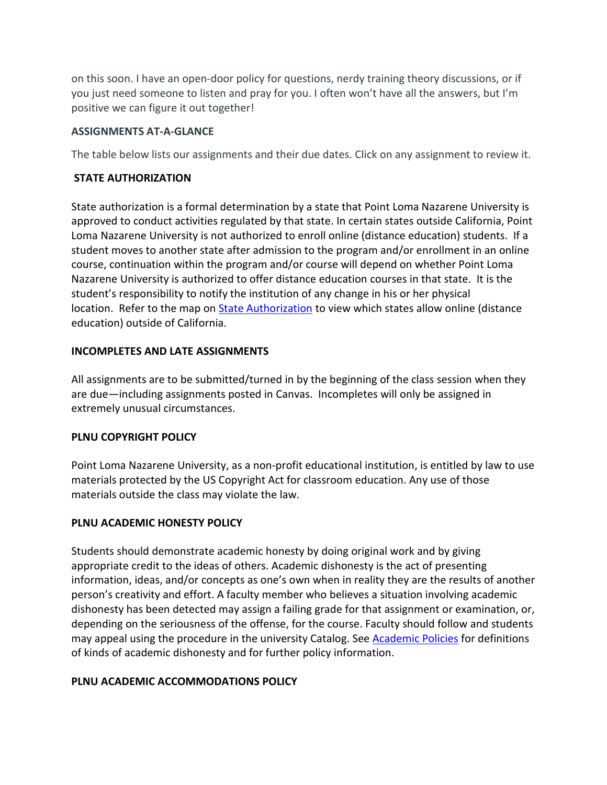on this soon. I have an open-door policy for questions, nerdy training theory discussions, or if you just need someone to listen and pray for you. I often won't have all the answers, but I'm positive we can figure it out together!

#### **ASSIGNMENTS AT-A-GLANCE**

The table below lists our assignments and their due dates. Click on any assignment to review it.

#### **STATE AUTHORIZATION**

State authorization is a formal determination by a state that Point Loma Nazarene University is approved to conduct activities regulated by that state. In certain states outside California, Point Loma Nazarene University is not authorized to enroll online (distance education) students. If a student moves to another state after admission to the program and/or enrollment in an online course, continuation within the program and/or course will depend on whether Point Loma Nazarene University is authorized to offer distance education courses in that state. It is the student's responsibility to notify the institution of any change in his or her physical location. Refer to the map on **State Authorization** to view which states allow online (distance education) outside of California.

#### **INCOMPLETES AND LATE ASSIGNMENTS**

All assignments are to be submitted/turned in by the beginning of the class session when they are due—including assignments posted in Canvas. Incompletes will only be assigned in extremely unusual circumstances.

#### **PLNU COPYRIGHT POLICY**

Point Loma Nazarene University, as a non-profit educational institution, is entitled by law to use materials protected by the US Copyright Act for classroom education. Any use of those materials outside the class may violate the law.

## **PLNU ACADEMIC HONESTY POLICY**

Students should demonstrate academic honesty by doing original work and by giving appropriate credit to the ideas of others. Academic dishonesty is the act of presenting information, ideas, and/or concepts as one's own when in reality they are the results of another person's creativity and effort. A faculty member who believes a situation involving academic dishonesty has been detected may assign a failing grade for that assignment or examination, or, depending on the seriousness of the offense, for the course. Faculty should follow and students may appeal using the procedure in the university Catalog. Se[e Academic Policies](http://catalog.pointloma.edu/content.php?catoid=18&navoid=1278) for definitions of kinds of academic dishonesty and for further policy information.

## **PLNU ACADEMIC ACCOMMODATIONS POLICY**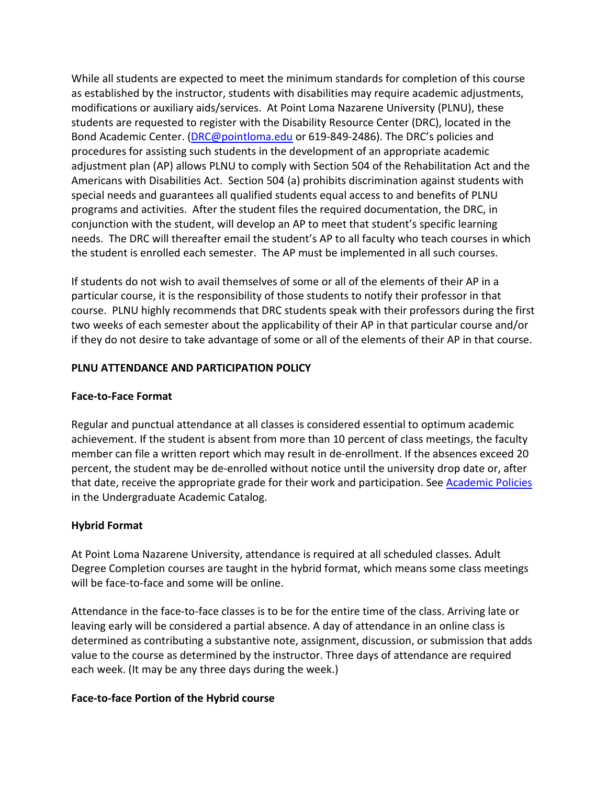While all students are expected to meet the minimum standards for completion of this course as established by the instructor, students with disabilities may require academic adjustments, modifications or auxiliary aids/services. At Point Loma Nazarene University (PLNU), these students are requested to register with the Disability Resource Center (DRC), located in the Bond Academic Center. [\(DRC@pointloma.edu](mailto:DRC@pointloma.edu) or 619-849-2486). The DRC's policies and procedures for assisting such students in the development of an appropriate academic adjustment plan (AP) allows PLNU to comply with Section 504 of the Rehabilitation Act and the Americans with Disabilities Act. Section 504 (a) prohibits discrimination against students with special needs and guarantees all qualified students equal access to and benefits of PLNU programs and activities. After the student files the required documentation, the DRC, in conjunction with the student, will develop an AP to meet that student's specific learning needs. The DRC will thereafter email the student's AP to all faculty who teach courses in which the student is enrolled each semester. The AP must be implemented in all such courses.

If students do not wish to avail themselves of some or all of the elements of their AP in a particular course, it is the responsibility of those students to notify their professor in that course. PLNU highly recommends that DRC students speak with their professors during the first two weeks of each semester about the applicability of their AP in that particular course and/or if they do not desire to take advantage of some or all of the elements of their AP in that course.

## **PLNU ATTENDANCE AND PARTICIPATION POLICY**

#### **Face-to-Face Format**

Regular and punctual attendance at all classes is considered essential to optimum academic achievement. If the student is absent from more than 10 percent of class meetings, the faculty member can file a written report which may result in de-enrollment. If the absences exceed 20 percent, the student may be de-enrolled without notice until the university drop date or, after that date, receive the appropriate grade for their work and participation. See [Academic Policies](http://catalog.pointloma.edu/content.php?catoid=18&navoid=1278) in the Undergraduate Academic Catalog.

## **Hybrid Format**

At Point Loma Nazarene University, attendance is required at all scheduled classes. Adult Degree Completion courses are taught in the hybrid format, which means some class meetings will be face-to-face and some will be online.

Attendance in the face-to-face classes is to be for the entire time of the class. Arriving late or leaving early will be considered a partial absence. A day of attendance in an online class is determined as contributing a substantive note, assignment, discussion, or submission that adds value to the course as determined by the instructor. Three days of attendance are required each week. (It may be any three days during the week.)

## **Face-to-face Portion of the Hybrid course**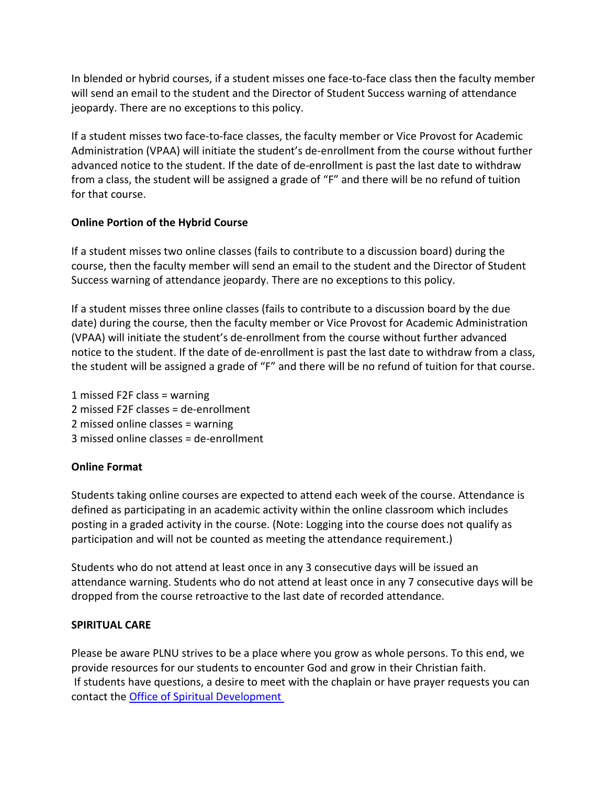In blended or hybrid courses, if a student misses one face-to-face class then the faculty member will send an email to the student and the Director of Student Success warning of attendance jeopardy. There are no exceptions to this policy.

If a student misses two face-to-face classes, the faculty member or Vice Provost for Academic Administration (VPAA) will initiate the student's de-enrollment from the course without further advanced notice to the student. If the date of de-enrollment is past the last date to withdraw from a class, the student will be assigned a grade of "F" and there will be no refund of tuition for that course.

## **Online Portion of the Hybrid Course**

If a student misses two online classes (fails to contribute to a discussion board) during the course, then the faculty member will send an email to the student and the Director of Student Success warning of attendance jeopardy. There are no exceptions to this policy.

If a student misses three online classes (fails to contribute to a discussion board by the due date) during the course, then the faculty member or Vice Provost for Academic Administration (VPAA) will initiate the student's de-enrollment from the course without further advanced notice to the student. If the date of de-enrollment is past the last date to withdraw from a class, the student will be assigned a grade of "F" and there will be no refund of tuition for that course.

1 missed F2F class = warning 2 missed F2F classes = de-enrollment 2 missed online classes = warning 3 missed online classes = de-enrollment

## **Online Format**

Students taking online courses are expected to attend each week of the course. Attendance is defined as participating in an academic activity within the online classroom which includes posting in a graded activity in the course. (Note: Logging into the course does not qualify as participation and will not be counted as meeting the attendance requirement.)

Students who do not attend at least once in any 3 consecutive days will be issued an attendance warning. Students who do not attend at least once in any 7 consecutive days will be dropped from the course retroactive to the last date of recorded attendance.

## **SPIRITUAL CARE**

Please be aware PLNU strives to be a place where you grow as whole persons. To this end, we provide resources for our students to encounter God and grow in their Christian faith. If students have questions, a desire to meet with the chaplain or have prayer requests you can contact the [Office of Spiritual Development](https://www.pointloma.edu/offices/spiritual-development)